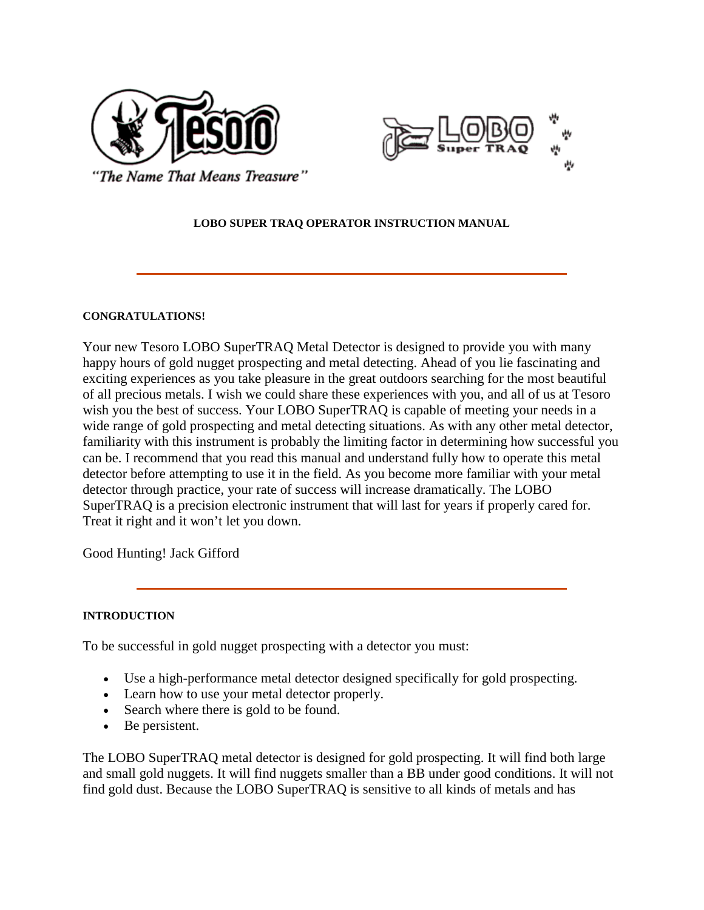



"The Name That Means Treasure"

## **LOBO SUPER TRAQ OPERATOR INSTRUCTION MANUAL**

### **CONGRATULATIONS!**

Your new Tesoro LOBO SuperTRAQ Metal Detector is designed to provide you with many happy hours of gold nugget prospecting and metal detecting. Ahead of you lie fascinating and exciting experiences as you take pleasure in the great outdoors searching for the most beautiful of all precious metals. I wish we could share these experiences with you, and all of us at Tesoro wish you the best of success. Your LOBO SuperTRAQ is capable of meeting your needs in a wide range of gold prospecting and metal detecting situations. As with any other metal detector, familiarity with this instrument is probably the limiting factor in determining how successful you can be. I recommend that you read this manual and understand fully how to operate this metal detector before attempting to use it in the field. As you become more familiar with your metal detector through practice, your rate of success will increase dramatically. The LOBO SuperTRAQ is a precision electronic instrument that will last for years if properly cared for. Treat it right and it won't let you down.

Good Hunting! Jack Gifford

### **INTRODUCTION**

To be successful in gold nugget prospecting with a detector you must:

- Use a high-performance metal detector designed specifically for gold prospecting.
- Learn how to use your metal detector properly.
- Search where there is gold to be found.
- Be persistent.

The LOBO SuperTRAQ metal detector is designed for gold prospecting. It will find both large and small gold nuggets. It will find nuggets smaller than a BB under good conditions. It will not find gold dust. Because the LOBO SuperTRAQ is sensitive to all kinds of metals and has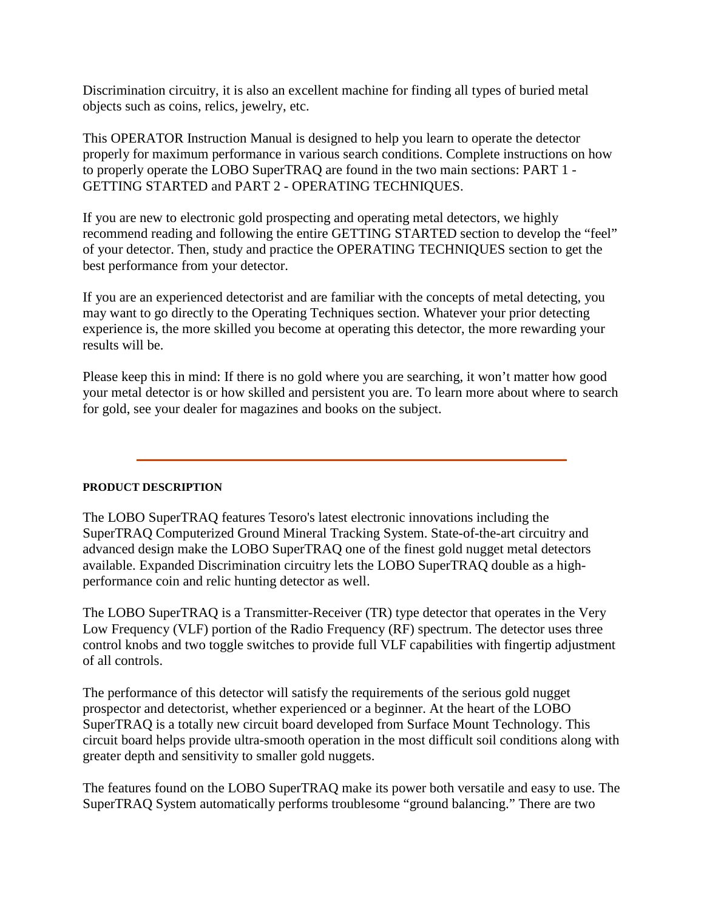Discrimination circuitry, it is also an excellent machine for finding all types of buried metal objects such as coins, relics, jewelry, etc.

This OPERATOR Instruction Manual is designed to help you learn to operate the detector properly for maximum performance in various search conditions. Complete instructions on how to properly operate the LOBO SuperTRAQ are found in the two main sections: PART 1 - GETTING STARTED and PART 2 - OPERATING TECHNIQUES.

If you are new to electronic gold prospecting and operating metal detectors, we highly recommend reading and following the entire GETTING STARTED section to develop the "feel" of your detector. Then, study and practice the OPERATING TECHNIQUES section to get the best performance from your detector.

If you are an experienced detectorist and are familiar with the concepts of metal detecting, you may want to go directly to the Operating Techniques section. Whatever your prior detecting experience is, the more skilled you become at operating this detector, the more rewarding your results will be.

Please keep this in mind: If there is no gold where you are searching, it won't matter how good your metal detector is or how skilled and persistent you are. To learn more about where to search for gold, see your dealer for magazines and books on the subject.

## **PRODUCT DESCRIPTION**

The LOBO SuperTRAQ features Tesoro's latest electronic innovations including the SuperTRAQ Computerized Ground Mineral Tracking System. State-of-the-art circuitry and advanced design make the LOBO SuperTRAQ one of the finest gold nugget metal detectors available. Expanded Discrimination circuitry lets the LOBO SuperTRAQ double as a highperformance coin and relic hunting detector as well.

The LOBO SuperTRAQ is a Transmitter-Receiver (TR) type detector that operates in the Very Low Frequency (VLF) portion of the Radio Frequency (RF) spectrum. The detector uses three control knobs and two toggle switches to provide full VLF capabilities with fingertip adjustment of all controls.

The performance of this detector will satisfy the requirements of the serious gold nugget prospector and detectorist, whether experienced or a beginner. At the heart of the LOBO SuperTRAQ is a totally new circuit board developed from Surface Mount Technology. This circuit board helps provide ultra-smooth operation in the most difficult soil conditions along with greater depth and sensitivity to smaller gold nuggets.

The features found on the LOBO SuperTRAQ make its power both versatile and easy to use. The SuperTRAQ System automatically performs troublesome "ground balancing." There are two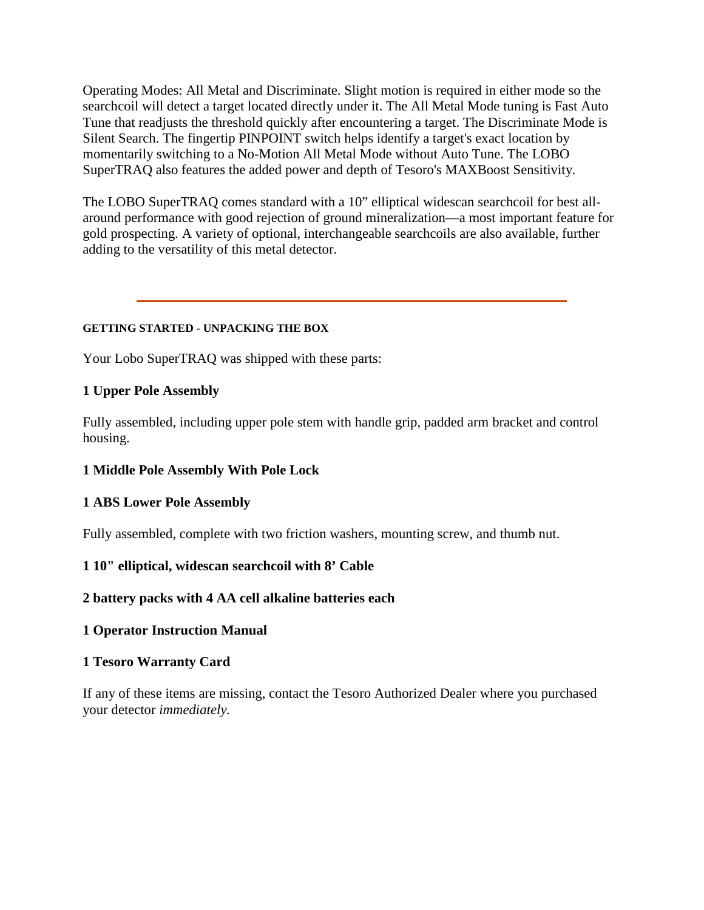Operating Modes: All Metal and Discriminate. Slight motion is required in either mode so the searchcoil will detect a target located directly under it. The All Metal Mode tuning is Fast Auto Tune that readjusts the threshold quickly after encountering a target. The Discriminate Mode is Silent Search. The fingertip PINPOINT switch helps identify a target's exact location by momentarily switching to a No-Motion All Metal Mode without Auto Tune. The LOBO SuperTRAQ also features the added power and depth of Tesoro's MAXBoost Sensitivity.

The LOBO SuperTRAQ comes standard with a 10" elliptical widescan searchcoil for best allaround performance with good rejection of ground mineralization—a most important feature for gold prospecting. A variety of optional, interchangeable searchcoils are also available, further adding to the versatility of this metal detector.

## **GETTING STARTED - UNPACKING THE BOX**

Your Lobo SuperTRAQ was shipped with these parts:

## **1 Upper Pole Assembly**

Fully assembled, including upper pole stem with handle grip, padded arm bracket and control housing.

## **1 Middle Pole Assembly With Pole Lock**

## **1 ABS Lower Pole Assembly**

Fully assembled, complete with two friction washers, mounting screw, and thumb nut.

## **1 10" elliptical, widescan searchcoil with 8' Cable**

## **2 battery packs with 4 AA cell alkaline batteries each**

## **1 Operator Instruction Manual**

## **1 Tesoro Warranty Card**

If any of these items are missing, contact the Tesoro Authorized Dealer where you purchased your detector *immediately.*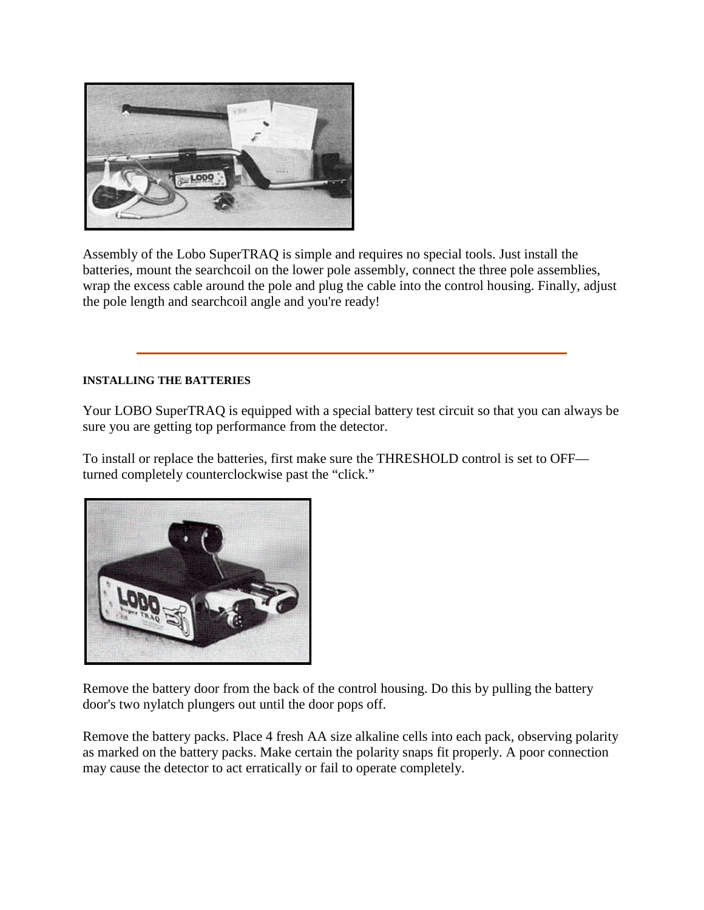

Assembly of the Lobo SuperTRAQ is simple and requires no special tools. Just install the batteries, mount the searchcoil on the lower pole assembly, connect the three pole assemblies, wrap the excess cable around the pole and plug the cable into the control housing. Finally, adjust the pole length and searchcoil angle and you're ready!

## **INSTALLING THE BATTERIES**

Your LOBO SuperTRAQ is equipped with a special battery test circuit so that you can always be sure you are getting top performance from the detector.

To install or replace the batteries, first make sure the THRESHOLD control is set to OFF turned completely counterclockwise past the "click."



Remove the battery door from the back of the control housing. Do this by pulling the battery door's two nylatch plungers out until the door pops off.

Remove the battery packs. Place 4 fresh AA size alkaline cells into each pack, observing polarity as marked on the battery packs. Make certain the polarity snaps fit properly. A poor connection may cause the detector to act erratically or fail to operate completely.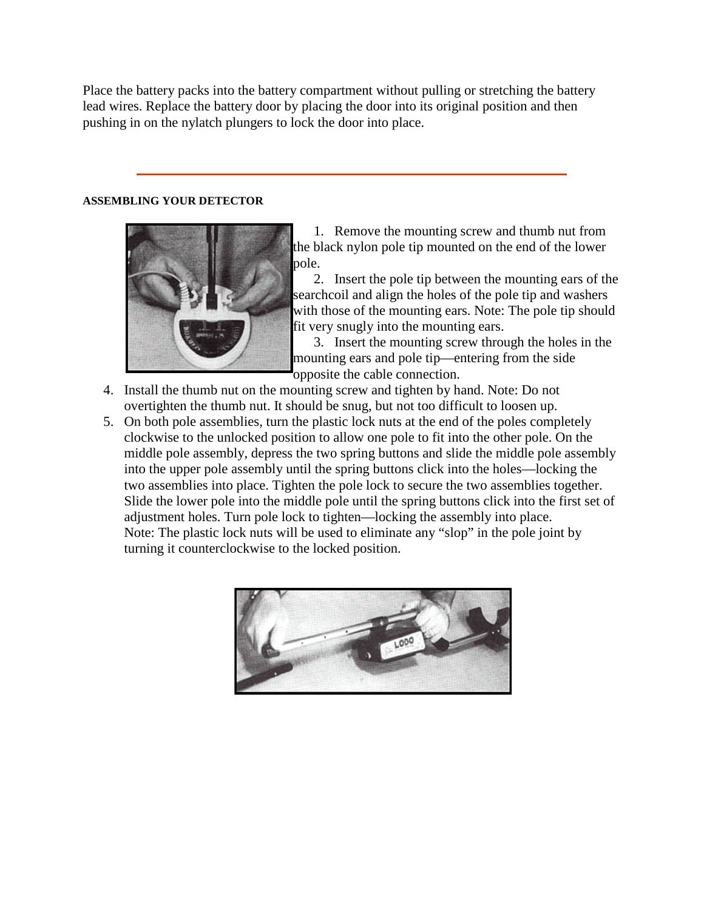Place the battery packs into the battery compartment without pulling or stretching the battery lead wires. Replace the battery door by placing the door into its original position and then pushing in on the nylatch plungers to lock the door into place.

### **ASSEMBLING YOUR DETECTOR**



1. Remove the mounting screw and thumb nut from the black nylon pole tip mounted on the end of the lower pole.

2. Insert the pole tip between the mounting ears of the searchcoil and align the holes of the pole tip and washers with those of the mounting ears. Note: The pole tip should fit very snugly into the mounting ears.

3. Insert the mounting screw through the holes in the mounting ears and pole tip—entering from the side opposite the cable connection.

- 4. Install the thumb nut on the mounting screw and tighten by hand. Note: Do not overtighten the thumb nut. It should be snug, but not too difficult to loosen up.
- 5. On both pole assemblies, turn the plastic lock nuts at the end of the poles completely clockwise to the unlocked position to allow one pole to fit into the other pole. On the middle pole assembly, depress the two spring buttons and slide the middle pole assembly into the upper pole assembly until the spring buttons click into the holes—locking the two assemblies into place. Tighten the pole lock to secure the two assemblies together. Slide the lower pole into the middle pole until the spring buttons click into the first set of adjustment holes. Turn pole lock to tighten—locking the assembly into place. Note: The plastic lock nuts will be used to eliminate any "slop" in the pole joint by turning it counterclockwise to the locked position.

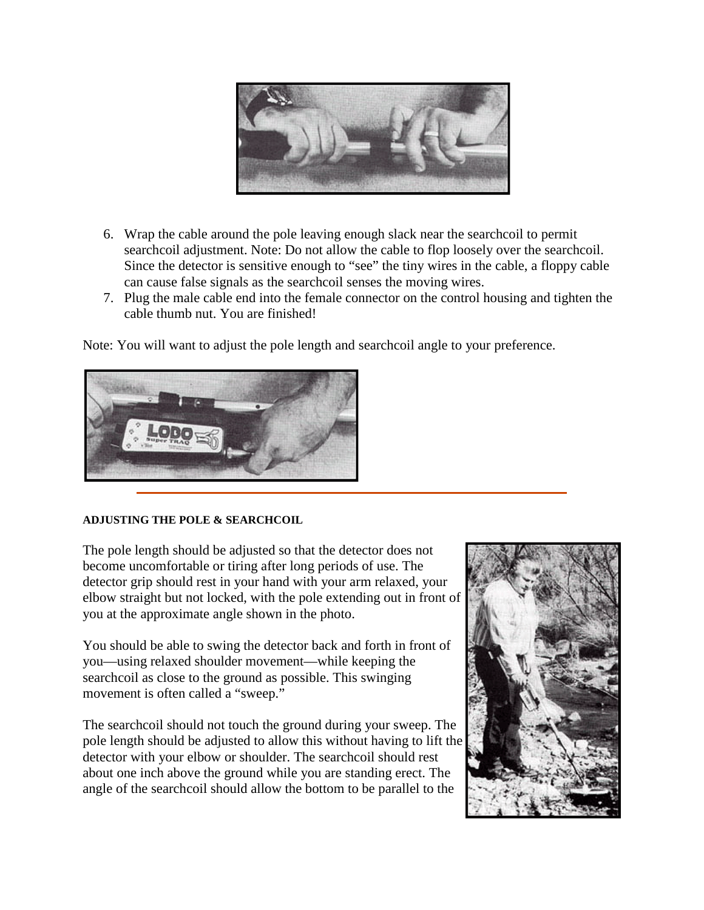

- 6. Wrap the cable around the pole leaving enough slack near the searchcoil to permit searchcoil adjustment. Note: Do not allow the cable to flop loosely over the searchcoil. Since the detector is sensitive enough to "see" the tiny wires in the cable, a floppy cable can cause false signals as the searchcoil senses the moving wires.
- 7. Plug the male cable end into the female connector on the control housing and tighten the cable thumb nut. You are finished!

Note: You will want to adjust the pole length and searchcoil angle to your preference.



### **ADJUSTING THE POLE & SEARCHCOIL**

The pole length should be adjusted so that the detector does not become uncomfortable or tiring after long periods of use. The detector grip should rest in your hand with your arm relaxed, your elbow straight but not locked, with the pole extending out in front of you at the approximate angle shown in the photo.

You should be able to swing the detector back and forth in front of you—using relaxed shoulder movement—while keeping the searchcoil as close to the ground as possible. This swinging movement is often called a "sweep."

The searchcoil should not touch the ground during your sweep. The pole length should be adjusted to allow this without having to lift the detector with your elbow or shoulder. The searchcoil should rest about one inch above the ground while you are standing erect. The angle of the searchcoil should allow the bottom to be parallel to the

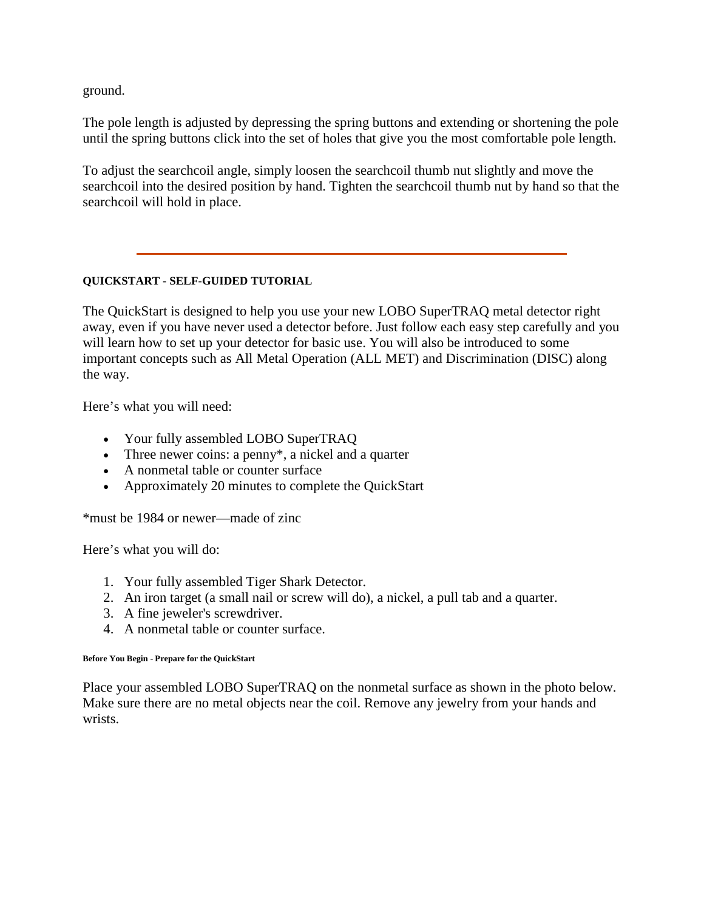ground.

The pole length is adjusted by depressing the spring buttons and extending or shortening the pole until the spring buttons click into the set of holes that give you the most comfortable pole length.

To adjust the searchcoil angle, simply loosen the searchcoil thumb nut slightly and move the searchcoil into the desired position by hand. Tighten the searchcoil thumb nut by hand so that the searchcoil will hold in place.

## **QUICKSTART - SELF-GUIDED TUTORIAL**

The QuickStart is designed to help you use your new LOBO SuperTRAQ metal detector right away, even if you have never used a detector before. Just follow each easy step carefully and you will learn how to set up your detector for basic use. You will also be introduced to some important concepts such as All Metal Operation (ALL MET) and Discrimination (DISC) along the way.

Here's what you will need:

- Your fully assembled LOBO SuperTRAQ
- Three newer coins: a penny<sup>\*</sup>, a nickel and a quarter
- A nonmetal table or counter surface
- Approximately 20 minutes to complete the QuickStart

\*must be 1984 or newer—made of zinc

Here's what you will do:

- 1. Your fully assembled Tiger Shark Detector.
- 2. An iron target (a small nail or screw will do), a nickel, a pull tab and a quarter.
- 3. A fine jeweler's screwdriver.
- 4. A nonmetal table or counter surface.

#### **Before You Begin - Prepare for the QuickStart**

Place your assembled LOBO SuperTRAQ on the nonmetal surface as shown in the photo below. Make sure there are no metal objects near the coil. Remove any jewelry from your hands and wrists.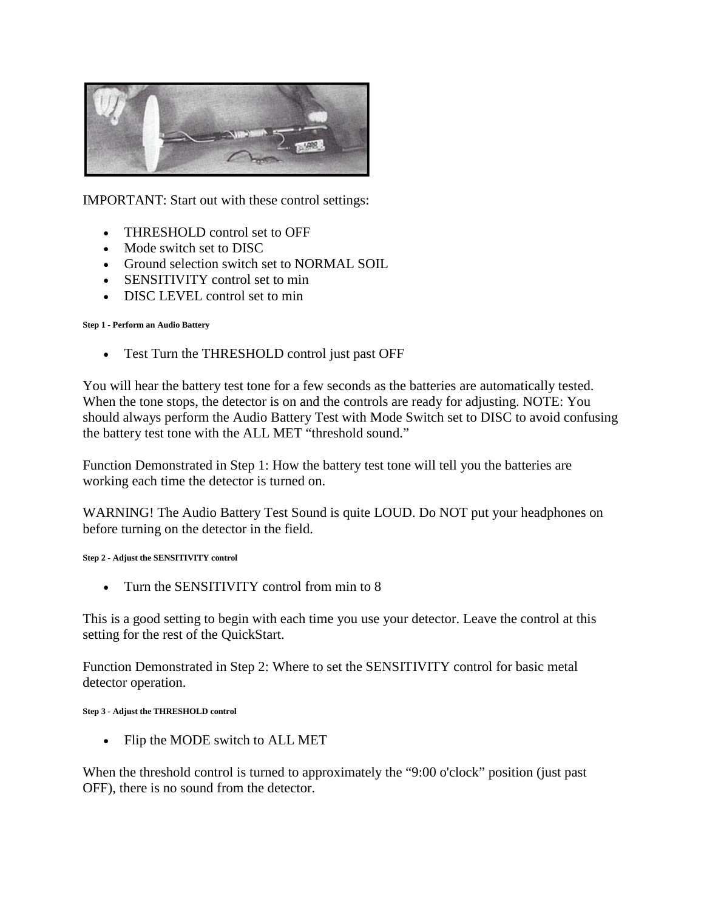

IMPORTANT: Start out with these control settings:

- THRESHOLD control set to OFF
- Mode switch set to DISC
- Ground selection switch set to NORMAL SOIL
- SENSITIVITY control set to min
- DISC LEVEL control set to min

### **Step 1 - Perform an Audio Battery**

• Test Turn the THRESHOLD control just past OFF

You will hear the battery test tone for a few seconds as the batteries are automatically tested. When the tone stops, the detector is on and the controls are ready for adjusting. NOTE: You should always perform the Audio Battery Test with Mode Switch set to DISC to avoid confusing the battery test tone with the ALL MET "threshold sound."

Function Demonstrated in Step 1: How the battery test tone will tell you the batteries are working each time the detector is turned on.

WARNING! The Audio Battery Test Sound is quite LOUD. Do NOT put your headphones on before turning on the detector in the field.

### **Step 2 - Adjust the SENSITIVITY control**

• Turn the SENSITIVITY control from min to 8

This is a good setting to begin with each time you use your detector. Leave the control at this setting for the rest of the QuickStart.

Function Demonstrated in Step 2: Where to set the SENSITIVITY control for basic metal detector operation.

#### **Step 3 - Adjust the THRESHOLD control**

• Flip the MODE switch to ALL MET

When the threshold control is turned to approximately the "9:00 o'clock" position (just past OFF), there is no sound from the detector.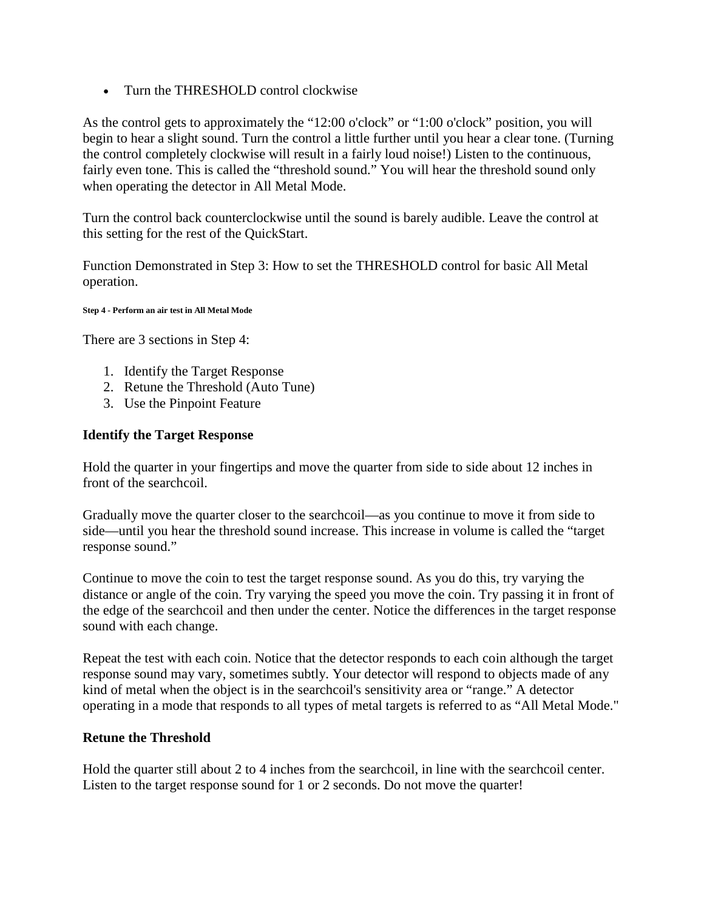• Turn the THRESHOLD control clockwise

As the control gets to approximately the "12:00 o'clock" or "1:00 o'clock" position, you will begin to hear a slight sound. Turn the control a little further until you hear a clear tone. (Turning the control completely clockwise will result in a fairly loud noise!) Listen to the continuous, fairly even tone. This is called the "threshold sound." You will hear the threshold sound only when operating the detector in All Metal Mode.

Turn the control back counterclockwise until the sound is barely audible. Leave the control at this setting for the rest of the QuickStart.

Function Demonstrated in Step 3: How to set the THRESHOLD control for basic All Metal operation.

**Step 4 - Perform an air test in All Metal Mode**

There are 3 sections in Step 4:

- 1. Identify the Target Response
- 2. Retune the Threshold (Auto Tune)
- 3. Use the Pinpoint Feature

## **Identify the Target Response**

Hold the quarter in your fingertips and move the quarter from side to side about 12 inches in front of the searchcoil.

Gradually move the quarter closer to the searchcoil—as you continue to move it from side to side—until you hear the threshold sound increase. This increase in volume is called the "target response sound."

Continue to move the coin to test the target response sound. As you do this, try varying the distance or angle of the coin. Try varying the speed you move the coin. Try passing it in front of the edge of the searchcoil and then under the center. Notice the differences in the target response sound with each change.

Repeat the test with each coin. Notice that the detector responds to each coin although the target response sound may vary, sometimes subtly. Your detector will respond to objects made of any kind of metal when the object is in the searchcoil's sensitivity area or "range." A detector operating in a mode that responds to all types of metal targets is referred to as "All Metal Mode."

## **Retune the Threshold**

Hold the quarter still about 2 to 4 inches from the searchcoil, in line with the searchcoil center. Listen to the target response sound for 1 or 2 seconds. Do not move the quarter!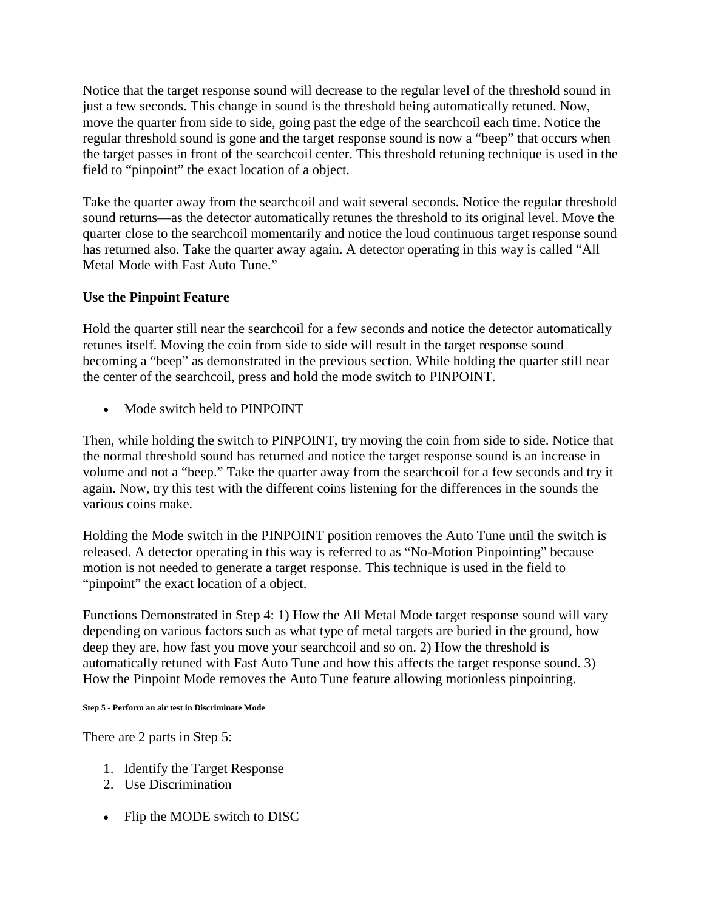Notice that the target response sound will decrease to the regular level of the threshold sound in just a few seconds. This change in sound is the threshold being automatically retuned. Now, move the quarter from side to side, going past the edge of the searchcoil each time. Notice the regular threshold sound is gone and the target response sound is now a "beep" that occurs when the target passes in front of the searchcoil center. This threshold retuning technique is used in the field to "pinpoint" the exact location of a object.

Take the quarter away from the searchcoil and wait several seconds. Notice the regular threshold sound returns—as the detector automatically retunes the threshold to its original level. Move the quarter close to the searchcoil momentarily and notice the loud continuous target response sound has returned also. Take the quarter away again. A detector operating in this way is called "All Metal Mode with Fast Auto Tune."

# **Use the Pinpoint Feature**

Hold the quarter still near the searchcoil for a few seconds and notice the detector automatically retunes itself. Moving the coin from side to side will result in the target response sound becoming a "beep" as demonstrated in the previous section. While holding the quarter still near the center of the searchcoil, press and hold the mode switch to PINPOINT.

• Mode switch held to PINPOINT

Then, while holding the switch to PINPOINT, try moving the coin from side to side. Notice that the normal threshold sound has returned and notice the target response sound is an increase in volume and not a "beep." Take the quarter away from the searchcoil for a few seconds and try it again. Now, try this test with the different coins listening for the differences in the sounds the various coins make.

Holding the Mode switch in the PINPOINT position removes the Auto Tune until the switch is released. A detector operating in this way is referred to as "No-Motion Pinpointing" because motion is not needed to generate a target response. This technique is used in the field to "pinpoint" the exact location of a object.

Functions Demonstrated in Step 4: 1) How the All Metal Mode target response sound will vary depending on various factors such as what type of metal targets are buried in the ground, how deep they are, how fast you move your searchcoil and so on. 2) How the threshold is automatically retuned with Fast Auto Tune and how this affects the target response sound. 3) How the Pinpoint Mode removes the Auto Tune feature allowing motionless pinpointing.

### **Step 5 - Perform an air test in Discriminate Mode**

There are 2 parts in Step 5:

- 1. Identify the Target Response
- 2. Use Discrimination
- Flip the MODE switch to DISC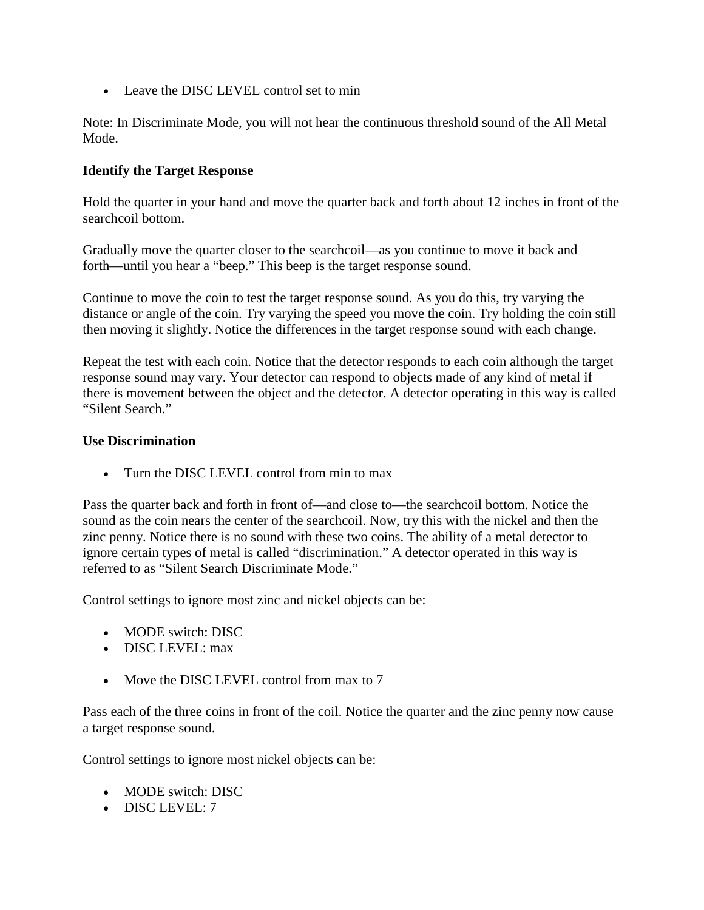• Leave the DISC LEVEL control set to min

Note: In Discriminate Mode, you will not hear the continuous threshold sound of the All Metal Mode.

## **Identify the Target Response**

Hold the quarter in your hand and move the quarter back and forth about 12 inches in front of the searchcoil bottom.

Gradually move the quarter closer to the searchcoil—as you continue to move it back and forth—until you hear a "beep." This beep is the target response sound.

Continue to move the coin to test the target response sound. As you do this, try varying the distance or angle of the coin. Try varying the speed you move the coin. Try holding the coin still then moving it slightly. Notice the differences in the target response sound with each change.

Repeat the test with each coin. Notice that the detector responds to each coin although the target response sound may vary. Your detector can respond to objects made of any kind of metal if there is movement between the object and the detector. A detector operating in this way is called "Silent Search."

## **Use Discrimination**

• Turn the DISC LEVEL control from min to max

Pass the quarter back and forth in front of—and close to—the searchcoil bottom. Notice the sound as the coin nears the center of the searchcoil. Now, try this with the nickel and then the zinc penny. Notice there is no sound with these two coins. The ability of a metal detector to ignore certain types of metal is called "discrimination." A detector operated in this way is referred to as "Silent Search Discriminate Mode."

Control settings to ignore most zinc and nickel objects can be:

- MODE switch: DISC
- DISC LEVEL:  $max$
- Move the DISC LEVEL control from max to 7

Pass each of the three coins in front of the coil. Notice the quarter and the zinc penny now cause a target response sound.

Control settings to ignore most nickel objects can be:

- MODE switch: DISC
- DISC LEVEL: 7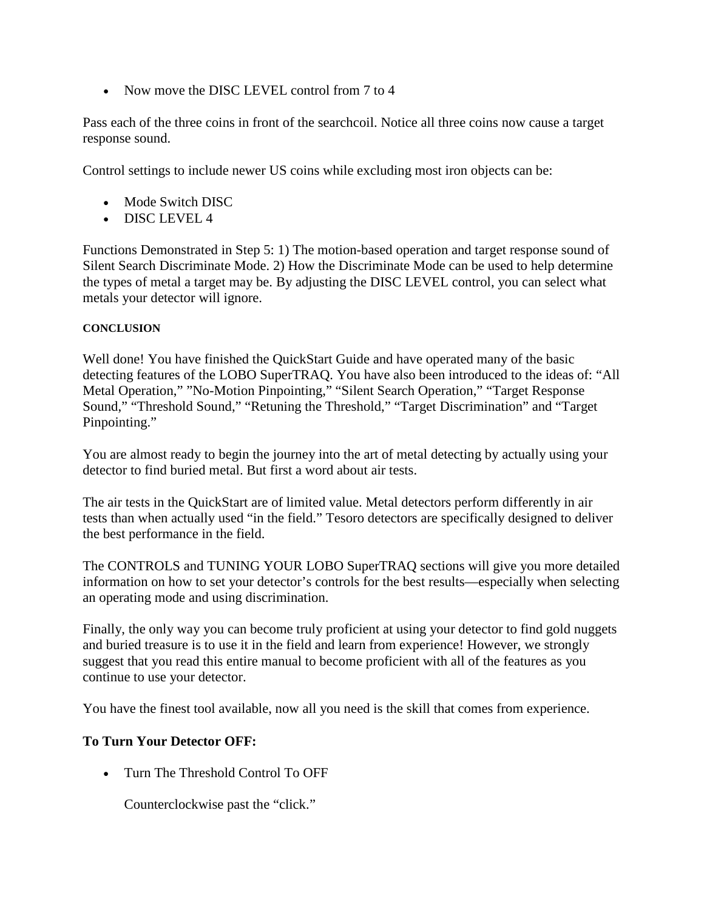• Now move the DISC LEVEL control from 7 to 4

Pass each of the three coins in front of the searchcoil. Notice all three coins now cause a target response sound.

Control settings to include newer US coins while excluding most iron objects can be:

- Mode Switch DISC
- DISC LEVEL 4

Functions Demonstrated in Step 5: 1) The motion-based operation and target response sound of Silent Search Discriminate Mode. 2) How the Discriminate Mode can be used to help determine the types of metal a target may be. By adjusting the DISC LEVEL control, you can select what metals your detector will ignore.

## **CONCLUSION**

Well done! You have finished the QuickStart Guide and have operated many of the basic detecting features of the LOBO SuperTRAQ. You have also been introduced to the ideas of: "All Metal Operation," "No-Motion Pinpointing," "Silent Search Operation," "Target Response Sound," "Threshold Sound," "Retuning the Threshold," "Target Discrimination" and "Target Pinpointing."

You are almost ready to begin the journey into the art of metal detecting by actually using your detector to find buried metal. But first a word about air tests.

The air tests in the QuickStart are of limited value. Metal detectors perform differently in air tests than when actually used "in the field." Tesoro detectors are specifically designed to deliver the best performance in the field.

The CONTROLS and TUNING YOUR LOBO SuperTRAQ sections will give you more detailed information on how to set your detector's controls for the best results—especially when selecting an operating mode and using discrimination.

Finally, the only way you can become truly proficient at using your detector to find gold nuggets and buried treasure is to use it in the field and learn from experience! However, we strongly suggest that you read this entire manual to become proficient with all of the features as you continue to use your detector.

You have the finest tool available, now all you need is the skill that comes from experience.

## **To Turn Your Detector OFF:**

• Turn The Threshold Control To OFF

Counterclockwise past the "click."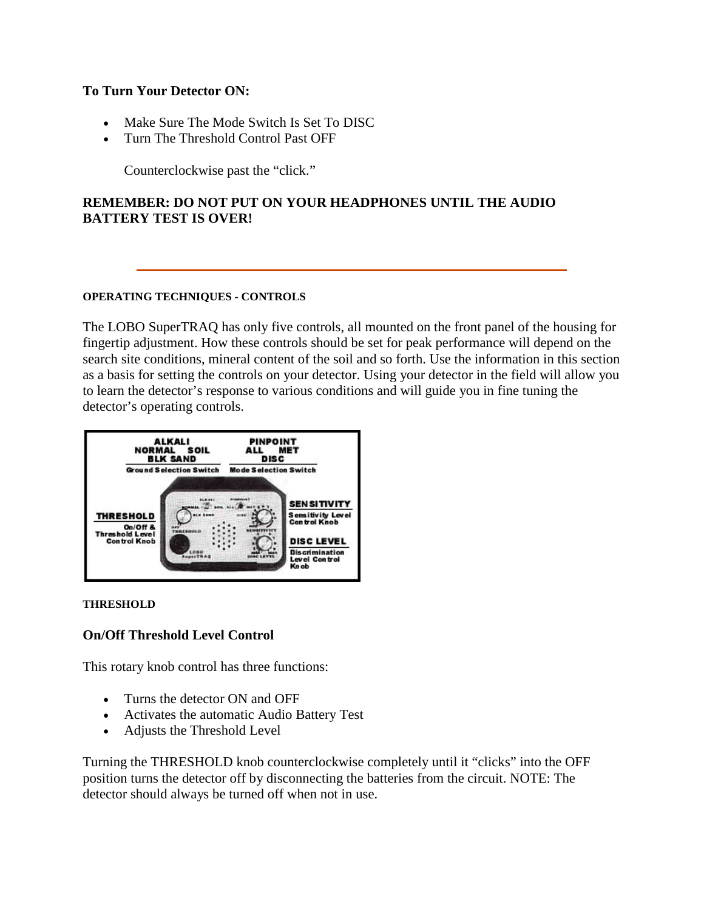## **To Turn Your Detector ON:**

- Make Sure The Mode Switch Is Set To DISC
- Turn The Threshold Control Past OFF

Counterclockwise past the "click."

# **REMEMBER: DO NOT PUT ON YOUR HEADPHONES UNTIL THE AUDIO BATTERY TEST IS OVER!**

### **OPERATING TECHNIQUES - CONTROLS**

The LOBO SuperTRAQ has only five controls, all mounted on the front panel of the housing for fingertip adjustment. How these controls should be set for peak performance will depend on the search site conditions, mineral content of the soil and so forth. Use the information in this section as a basis for setting the controls on your detector. Using your detector in the field will allow you to learn the detector's response to various conditions and will guide you in fine tuning the detector's operating controls.



### **THRESHOLD**

## **On/Off Threshold Level Control**

This rotary knob control has three functions:

- Turns the detector ON and OFF
- Activates the automatic Audio Battery Test
- Adjusts the Threshold Level

Turning the THRESHOLD knob counterclockwise completely until it "clicks" into the OFF position turns the detector off by disconnecting the batteries from the circuit. NOTE: The detector should always be turned off when not in use.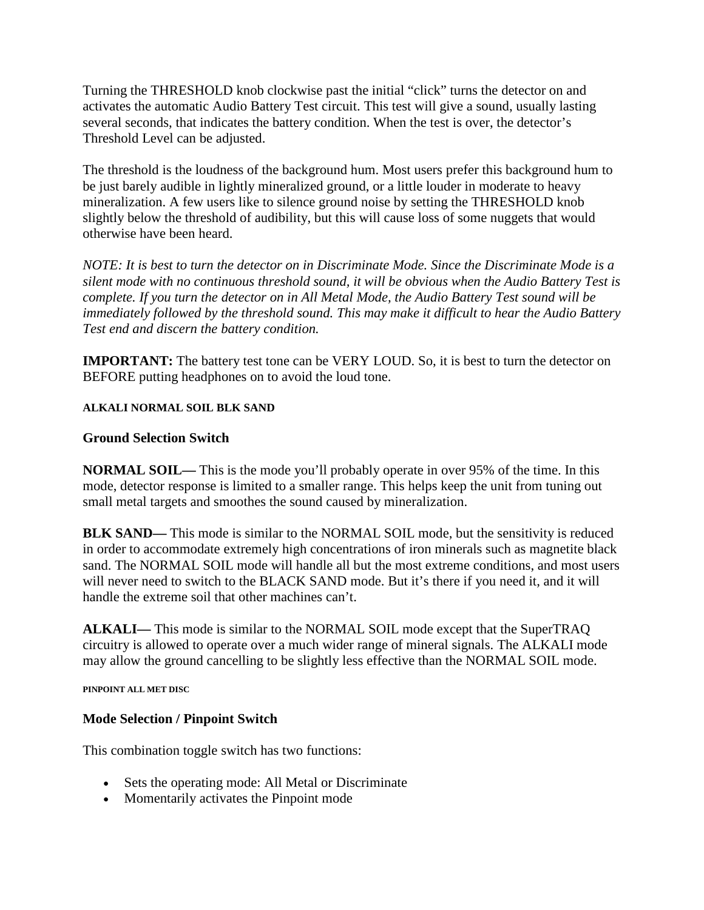Turning the THRESHOLD knob clockwise past the initial "click" turns the detector on and activates the automatic Audio Battery Test circuit. This test will give a sound, usually lasting several seconds, that indicates the battery condition. When the test is over, the detector's Threshold Level can be adjusted.

The threshold is the loudness of the background hum. Most users prefer this background hum to be just barely audible in lightly mineralized ground, or a little louder in moderate to heavy mineralization. A few users like to silence ground noise by setting the THRESHOLD knob slightly below the threshold of audibility, but this will cause loss of some nuggets that would otherwise have been heard.

*NOTE: It is best to turn the detector on in Discriminate Mode. Since the Discriminate Mode is a silent mode with no continuous threshold sound, it will be obvious when the Audio Battery Test is complete. If you turn the detector on in All Metal Mode, the Audio Battery Test sound will be immediately followed by the threshold sound. This may make it difficult to hear the Audio Battery Test end and discern the battery condition.*

**IMPORTANT:** The battery test tone can be VERY LOUD. So, it is best to turn the detector on BEFORE putting headphones on to avoid the loud tone.

## **ALKALI NORMAL SOIL BLK SAND**

## **Ground Selection Switch**

**NORMAL SOIL—** This is the mode you'll probably operate in over 95% of the time. In this mode, detector response is limited to a smaller range. This helps keep the unit from tuning out small metal targets and smoothes the sound caused by mineralization.

**BLK SAND—** This mode is similar to the NORMAL SOIL mode, but the sensitivity is reduced in order to accommodate extremely high concentrations of iron minerals such as magnetite black sand. The NORMAL SOIL mode will handle all but the most extreme conditions, and most users will never need to switch to the BLACK SAND mode. But it's there if you need it, and it will handle the extreme soil that other machines can't.

**ALKALI—** This mode is similar to the NORMAL SOIL mode except that the SuperTRAQ circuitry is allowed to operate over a much wider range of mineral signals. The ALKALI mode may allow the ground cancelling to be slightly less effective than the NORMAL SOIL mode.

**PINPOINT ALL MET DISC**

## **Mode Selection / Pinpoint Switch**

This combination toggle switch has two functions:

- Sets the operating mode: All Metal or Discriminate
- Momentarily activates the Pinpoint mode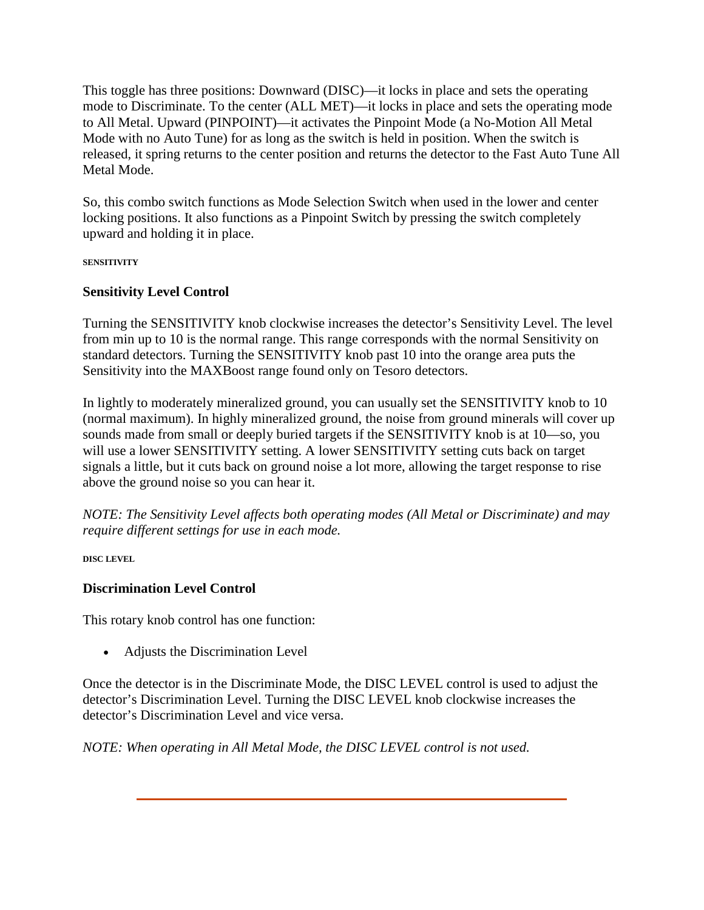This toggle has three positions: Downward (DISC)—it locks in place and sets the operating mode to Discriminate. To the center (ALL MET)—it locks in place and sets the operating mode to All Metal. Upward (PINPOINT)—it activates the Pinpoint Mode (a No-Motion All Metal Mode with no Auto Tune) for as long as the switch is held in position. When the switch is released, it spring returns to the center position and returns the detector to the Fast Auto Tune All Metal Mode.

So, this combo switch functions as Mode Selection Switch when used in the lower and center locking positions. It also functions as a Pinpoint Switch by pressing the switch completely upward and holding it in place.

**SENSITIVITY**

# **Sensitivity Level Control**

Turning the SENSITIVITY knob clockwise increases the detector's Sensitivity Level. The level from min up to 10 is the normal range. This range corresponds with the normal Sensitivity on standard detectors. Turning the SENSITIVITY knob past 10 into the orange area puts the Sensitivity into the MAXBoost range found only on Tesoro detectors.

In lightly to moderately mineralized ground, you can usually set the SENSITIVITY knob to 10 (normal maximum). In highly mineralized ground, the noise from ground minerals will cover up sounds made from small or deeply buried targets if the SENSITIVITY knob is at 10—so, you will use a lower SENSITIVITY setting. A lower SENSITIVITY setting cuts back on target signals a little, but it cuts back on ground noise a lot more, allowing the target response to rise above the ground noise so you can hear it.

*NOTE: The Sensitivity Level affects both operating modes (All Metal or Discriminate) and may require different settings for use in each mode.*

**DISC LEVEL**

# **Discrimination Level Control**

This rotary knob control has one function:

• Adjusts the Discrimination Level

Once the detector is in the Discriminate Mode, the DISC LEVEL control is used to adjust the detector's Discrimination Level. Turning the DISC LEVEL knob clockwise increases the detector's Discrimination Level and vice versa.

*NOTE: When operating in All Metal Mode, the DISC LEVEL control is not used.*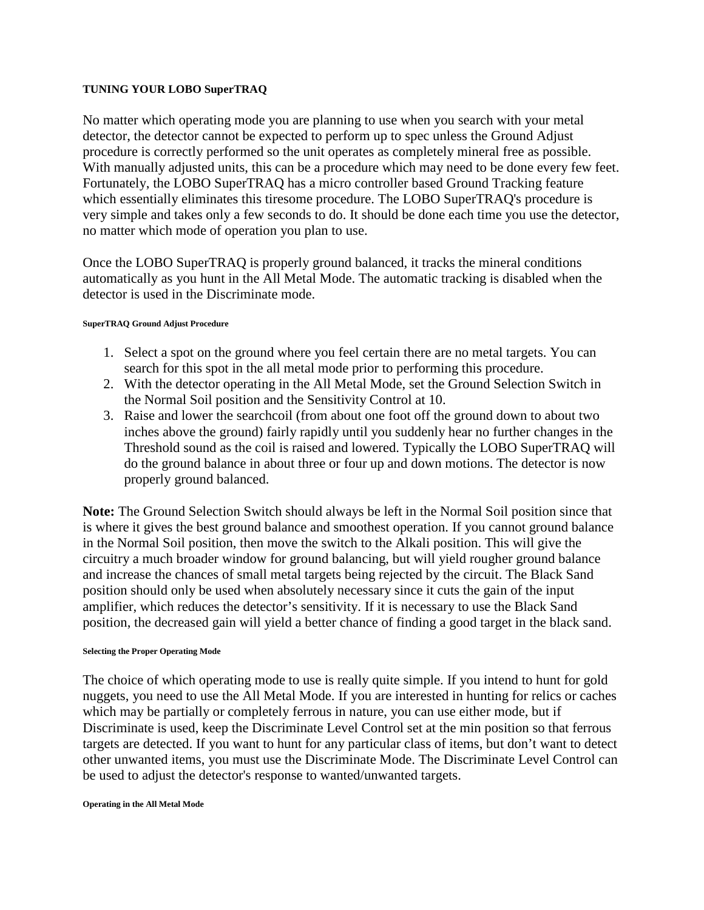### **TUNING YOUR LOBO SuperTRAQ**

No matter which operating mode you are planning to use when you search with your metal detector, the detector cannot be expected to perform up to spec unless the Ground Adjust procedure is correctly performed so the unit operates as completely mineral free as possible. With manually adjusted units, this can be a procedure which may need to be done every few feet. Fortunately, the LOBO SuperTRAQ has a micro controller based Ground Tracking feature which essentially eliminates this tiresome procedure. The LOBO SuperTRAQ's procedure is very simple and takes only a few seconds to do. It should be done each time you use the detector, no matter which mode of operation you plan to use.

Once the LOBO SuperTRAQ is properly ground balanced, it tracks the mineral conditions automatically as you hunt in the All Metal Mode. The automatic tracking is disabled when the detector is used in the Discriminate mode.

### **SuperTRAQ Ground Adjust Procedure**

- 1. Select a spot on the ground where you feel certain there are no metal targets. You can search for this spot in the all metal mode prior to performing this procedure.
- 2. With the detector operating in the All Metal Mode, set the Ground Selection Switch in the Normal Soil position and the Sensitivity Control at 10.
- 3. Raise and lower the searchcoil (from about one foot off the ground down to about two inches above the ground) fairly rapidly until you suddenly hear no further changes in the Threshold sound as the coil is raised and lowered. Typically the LOBO SuperTRAQ will do the ground balance in about three or four up and down motions. The detector is now properly ground balanced.

**Note:** The Ground Selection Switch should always be left in the Normal Soil position since that is where it gives the best ground balance and smoothest operation. If you cannot ground balance in the Normal Soil position, then move the switch to the Alkali position. This will give the circuitry a much broader window for ground balancing, but will yield rougher ground balance and increase the chances of small metal targets being rejected by the circuit. The Black Sand position should only be used when absolutely necessary since it cuts the gain of the input amplifier, which reduces the detector's sensitivity. If it is necessary to use the Black Sand position, the decreased gain will yield a better chance of finding a good target in the black sand.

#### **Selecting the Proper Operating Mode**

The choice of which operating mode to use is really quite simple. If you intend to hunt for gold nuggets, you need to use the All Metal Mode. If you are interested in hunting for relics or caches which may be partially or completely ferrous in nature, you can use either mode, but if Discriminate is used, keep the Discriminate Level Control set at the min position so that ferrous targets are detected. If you want to hunt for any particular class of items, but don't want to detect other unwanted items, you must use the Discriminate Mode. The Discriminate Level Control can be used to adjust the detector's response to wanted/unwanted targets.

#### **Operating in the All Metal Mode**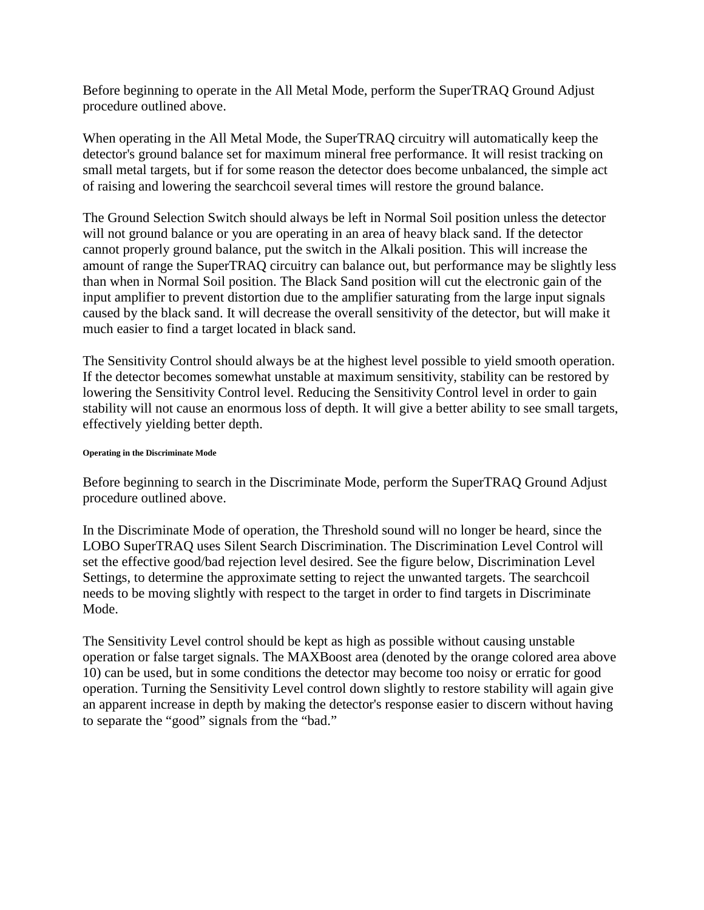Before beginning to operate in the All Metal Mode, perform the SuperTRAQ Ground Adjust procedure outlined above.

When operating in the All Metal Mode, the SuperTRAQ circuitry will automatically keep the detector's ground balance set for maximum mineral free performance. It will resist tracking on small metal targets, but if for some reason the detector does become unbalanced, the simple act of raising and lowering the searchcoil several times will restore the ground balance.

The Ground Selection Switch should always be left in Normal Soil position unless the detector will not ground balance or you are operating in an area of heavy black sand. If the detector cannot properly ground balance, put the switch in the Alkali position. This will increase the amount of range the SuperTRAQ circuitry can balance out, but performance may be slightly less than when in Normal Soil position. The Black Sand position will cut the electronic gain of the input amplifier to prevent distortion due to the amplifier saturating from the large input signals caused by the black sand. It will decrease the overall sensitivity of the detector, but will make it much easier to find a target located in black sand.

The Sensitivity Control should always be at the highest level possible to yield smooth operation. If the detector becomes somewhat unstable at maximum sensitivity, stability can be restored by lowering the Sensitivity Control level. Reducing the Sensitivity Control level in order to gain stability will not cause an enormous loss of depth. It will give a better ability to see small targets, effectively yielding better depth.

### **Operating in the Discriminate Mode**

Before beginning to search in the Discriminate Mode, perform the SuperTRAQ Ground Adjust procedure outlined above.

In the Discriminate Mode of operation, the Threshold sound will no longer be heard, since the LOBO SuperTRAQ uses Silent Search Discrimination. The Discrimination Level Control will set the effective good/bad rejection level desired. See the figure below, Discrimination Level Settings, to determine the approximate setting to reject the unwanted targets. The searchcoil needs to be moving slightly with respect to the target in order to find targets in Discriminate Mode.

The Sensitivity Level control should be kept as high as possible without causing unstable operation or false target signals. The MAXBoost area (denoted by the orange colored area above 10) can be used, but in some conditions the detector may become too noisy or erratic for good operation. Turning the Sensitivity Level control down slightly to restore stability will again give an apparent increase in depth by making the detector's response easier to discern without having to separate the "good" signals from the "bad."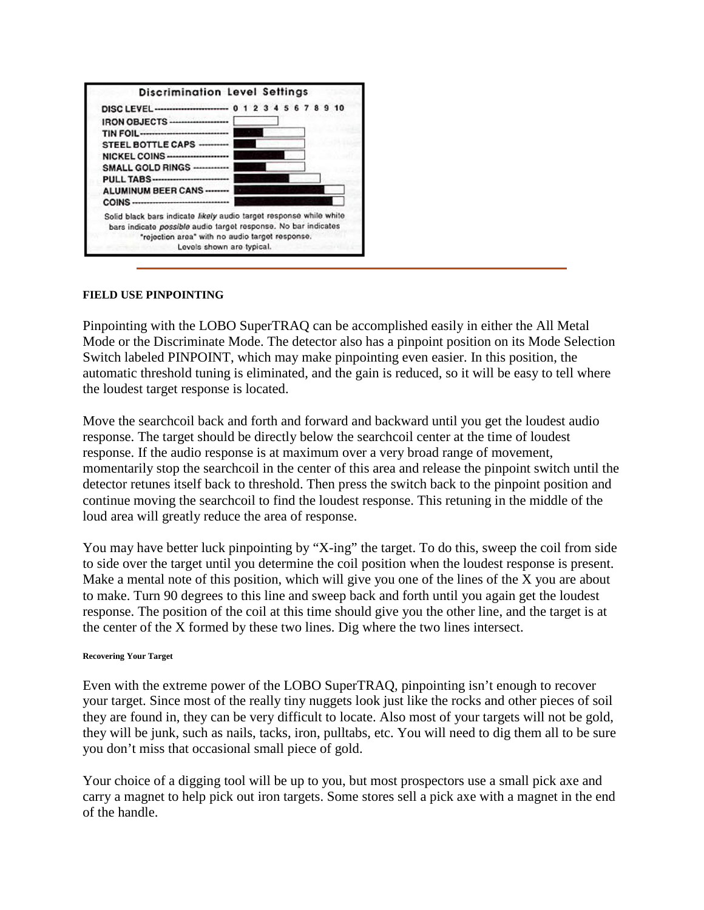

### **FIELD USE PINPOINTING**

Pinpointing with the LOBO SuperTRAQ can be accomplished easily in either the All Metal Mode or the Discriminate Mode. The detector also has a pinpoint position on its Mode Selection Switch labeled PINPOINT, which may make pinpointing even easier. In this position, the automatic threshold tuning is eliminated, and the gain is reduced, so it will be easy to tell where the loudest target response is located.

Move the searchcoil back and forth and forward and backward until you get the loudest audio response. The target should be directly below the searchcoil center at the time of loudest response. If the audio response is at maximum over a very broad range of movement, momentarily stop the searchcoil in the center of this area and release the pinpoint switch until the detector retunes itself back to threshold. Then press the switch back to the pinpoint position and continue moving the searchcoil to find the loudest response. This retuning in the middle of the loud area will greatly reduce the area of response.

You may have better luck pinpointing by "X-ing" the target. To do this, sweep the coil from side to side over the target until you determine the coil position when the loudest response is present. Make a mental note of this position, which will give you one of the lines of the X you are about to make. Turn 90 degrees to this line and sweep back and forth until you again get the loudest response. The position of the coil at this time should give you the other line, and the target is at the center of the X formed by these two lines. Dig where the two lines intersect.

#### **Recovering Your Target**

Even with the extreme power of the LOBO SuperTRAQ, pinpointing isn't enough to recover your target. Since most of the really tiny nuggets look just like the rocks and other pieces of soil they are found in, they can be very difficult to locate. Also most of your targets will not be gold, they will be junk, such as nails, tacks, iron, pulltabs, etc. You will need to dig them all to be sure you don't miss that occasional small piece of gold.

Your choice of a digging tool will be up to you, but most prospectors use a small pick axe and carry a magnet to help pick out iron targets. Some stores sell a pick axe with a magnet in the end of the handle.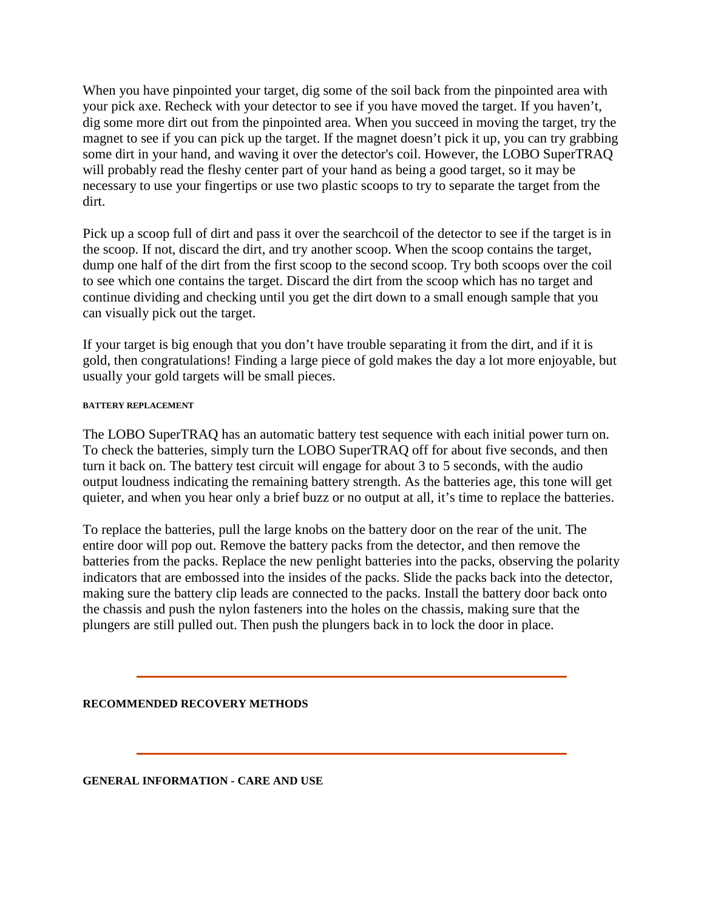When you have pinpointed your target, dig some of the soil back from the pinpointed area with your pick axe. Recheck with your detector to see if you have moved the target. If you haven't, dig some more dirt out from the pinpointed area. When you succeed in moving the target, try the magnet to see if you can pick up the target. If the magnet doesn't pick it up, you can try grabbing some dirt in your hand, and waving it over the detector's coil. However, the LOBO SuperTRAQ will probably read the fleshy center part of your hand as being a good target, so it may be necessary to use your fingertips or use two plastic scoops to try to separate the target from the dirt.

Pick up a scoop full of dirt and pass it over the searchcoil of the detector to see if the target is in the scoop. If not, discard the dirt, and try another scoop. When the scoop contains the target, dump one half of the dirt from the first scoop to the second scoop. Try both scoops over the coil to see which one contains the target. Discard the dirt from the scoop which has no target and continue dividing and checking until you get the dirt down to a small enough sample that you can visually pick out the target.

If your target is big enough that you don't have trouble separating it from the dirt, and if it is gold, then congratulations! Finding a large piece of gold makes the day a lot more enjoyable, but usually your gold targets will be small pieces.

### **BATTERY REPLACEMENT**

The LOBO SuperTRAQ has an automatic battery test sequence with each initial power turn on. To check the batteries, simply turn the LOBO SuperTRAQ off for about five seconds, and then turn it back on. The battery test circuit will engage for about 3 to 5 seconds, with the audio output loudness indicating the remaining battery strength. As the batteries age, this tone will get quieter, and when you hear only a brief buzz or no output at all, it's time to replace the batteries.

To replace the batteries, pull the large knobs on the battery door on the rear of the unit. The entire door will pop out. Remove the battery packs from the detector, and then remove the batteries from the packs. Replace the new penlight batteries into the packs, observing the polarity indicators that are embossed into the insides of the packs. Slide the packs back into the detector, making sure the battery clip leads are connected to the packs. Install the battery door back onto the chassis and push the nylon fasteners into the holes on the chassis, making sure that the plungers are still pulled out. Then push the plungers back in to lock the door in place.

### **RECOMMENDED RECOVERY METHODS**

**GENERAL INFORMATION - CARE AND USE**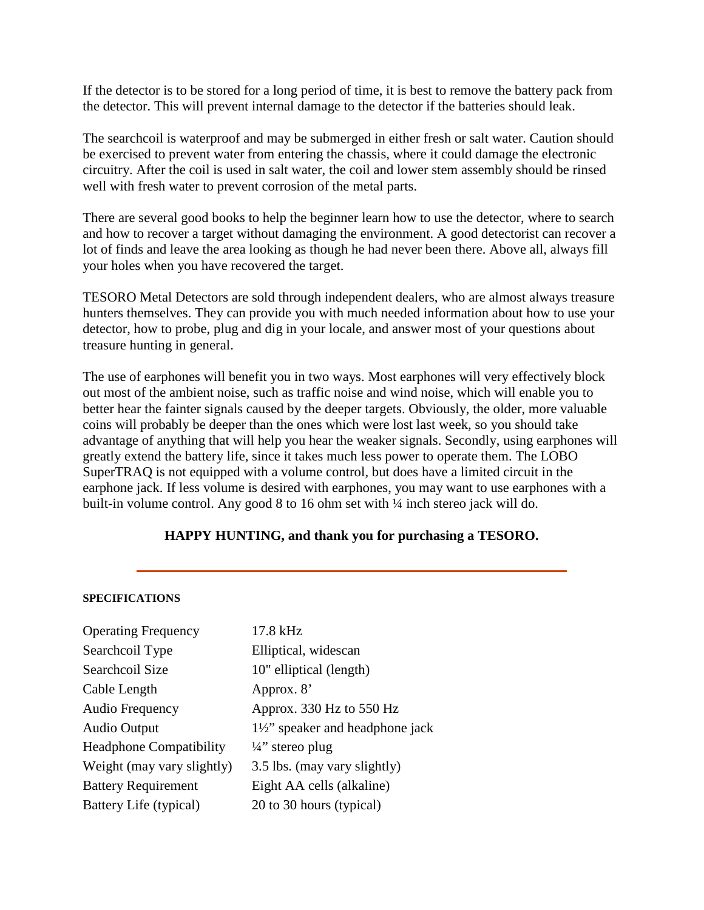If the detector is to be stored for a long period of time, it is best to remove the battery pack from the detector. This will prevent internal damage to the detector if the batteries should leak.

The searchcoil is waterproof and may be submerged in either fresh or salt water. Caution should be exercised to prevent water from entering the chassis, where it could damage the electronic circuitry. After the coil is used in salt water, the coil and lower stem assembly should be rinsed well with fresh water to prevent corrosion of the metal parts.

There are several good books to help the beginner learn how to use the detector, where to search and how to recover a target without damaging the environment. A good detectorist can recover a lot of finds and leave the area looking as though he had never been there. Above all, always fill your holes when you have recovered the target.

TESORO Metal Detectors are sold through independent dealers, who are almost always treasure hunters themselves. They can provide you with much needed information about how to use your detector, how to probe, plug and dig in your locale, and answer most of your questions about treasure hunting in general.

The use of earphones will benefit you in two ways. Most earphones will very effectively block out most of the ambient noise, such as traffic noise and wind noise, which will enable you to better hear the fainter signals caused by the deeper targets. Obviously, the older, more valuable coins will probably be deeper than the ones which were lost last week, so you should take advantage of anything that will help you hear the weaker signals. Secondly, using earphones will greatly extend the battery life, since it takes much less power to operate them. The LOBO SuperTRAQ is not equipped with a volume control, but does have a limited circuit in the earphone jack. If less volume is desired with earphones, you may want to use earphones with a built-in volume control. Any good 8 to 16 ohm set with 1/4 inch stereo jack will do.

## **HAPPY HUNTING, and thank you for purchasing a TESORO.**

#### **SPECIFICATIONS**

| <b>Operating Frequency</b>     | 17.8 kHz                                  |
|--------------------------------|-------------------------------------------|
| Searchcoil Type                | Elliptical, widescan                      |
| Searchcoil Size                | 10" elliptical (length)                   |
| Cable Length                   | Approx. 8'                                |
| Audio Frequency                | Approx. 330 Hz to 550 Hz                  |
| <b>Audio Output</b>            | $1\frac{1}{2}$ speaker and headphone jack |
| <b>Headphone Compatibility</b> | $\frac{1}{4}$ stereo plug                 |
| Weight (may vary slightly)     | 3.5 lbs. (may vary slightly)              |
| <b>Battery Requirement</b>     | Eight AA cells (alkaline)                 |
| Battery Life (typical)         | 20 to 30 hours (typical)                  |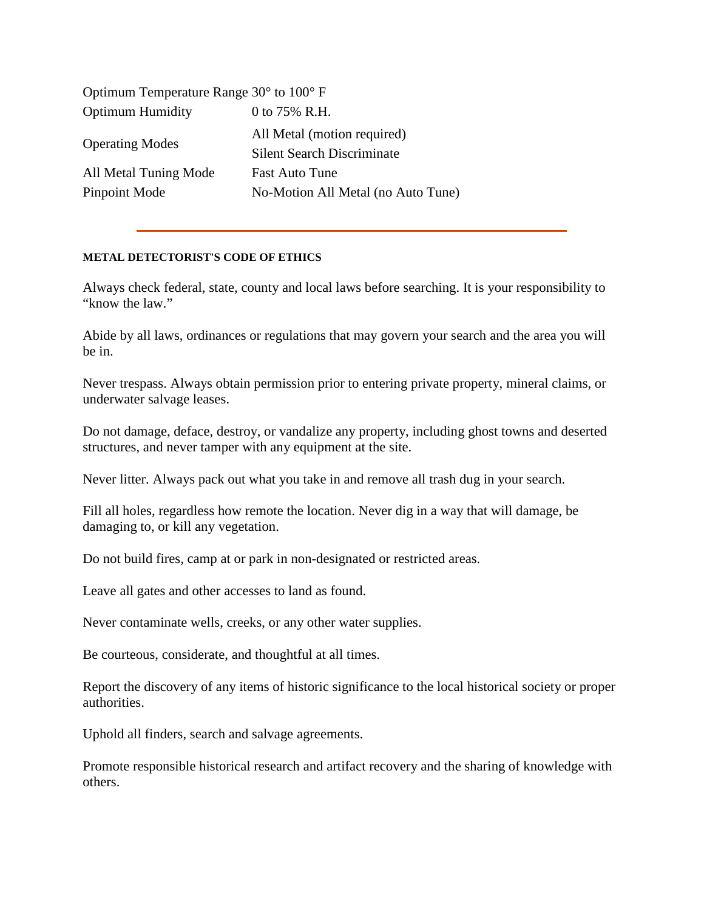| Optimum Temperature Range $30^{\circ}$ to $100^{\circ}$ F |                                                                  |
|-----------------------------------------------------------|------------------------------------------------------------------|
| <b>Optimum Humidity</b>                                   | 0 to 75% R.H.                                                    |
| <b>Operating Modes</b>                                    | All Metal (motion required)<br><b>Silent Search Discriminate</b> |
| All Metal Tuning Mode                                     | <b>Fast Auto Tune</b>                                            |
| Pinpoint Mode                                             | No-Motion All Metal (no Auto Tune)                               |

### **METAL DETECTORIST'S CODE OF ETHICS**

Always check federal, state, county and local laws before searching. It is your responsibility to "know the law."

Abide by all laws, ordinances or regulations that may govern your search and the area you will be in.

Never trespass. Always obtain permission prior to entering private property, mineral claims, or underwater salvage leases.

Do not damage, deface, destroy, or vandalize any property, including ghost towns and deserted structures, and never tamper with any equipment at the site.

Never litter. Always pack out what you take in and remove all trash dug in your search.

Fill all holes, regardless how remote the location. Never dig in a way that will damage, be damaging to, or kill any vegetation.

Do not build fires, camp at or park in non-designated or restricted areas.

Leave all gates and other accesses to land as found.

Never contaminate wells, creeks, or any other water supplies.

Be courteous, considerate, and thoughtful at all times.

Report the discovery of any items of historic significance to the local historical society or proper authorities.

Uphold all finders, search and salvage agreements.

Promote responsible historical research and artifact recovery and the sharing of knowledge with others.